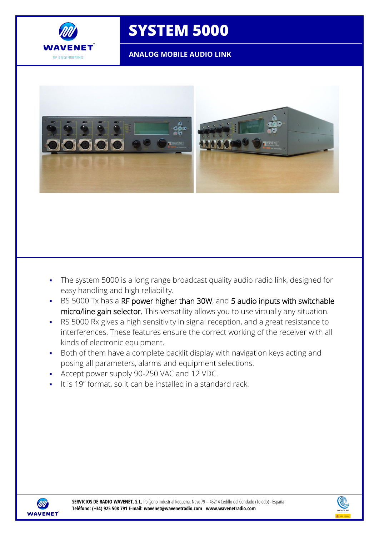

## **SYSTEM 5000**

**ANALOG MOBILE AUDIO LINK**



- The system 5000 is a long range broadcast quality audio radio link, designed for easy handling and high reliability.
- BS 5000 Tx has a RF power higher than 30W, and 5 audio inputs with switchable micro/line gain selector. This versatility allows you to use virtually any situation.
- RS 5000 Rx gives a high sensitivity in signal reception, and a great resistance to interferences. These features ensure the correct working of the receiver with all kinds of electronic equipment.
- Both of them have a complete backlit display with navigation keys acting and posing all parameters, alarms and equipment selections.
- Accept power supply 90-250 VAC and 12 VDC.
- It is 19" format, so it can be installed in a standard rack.